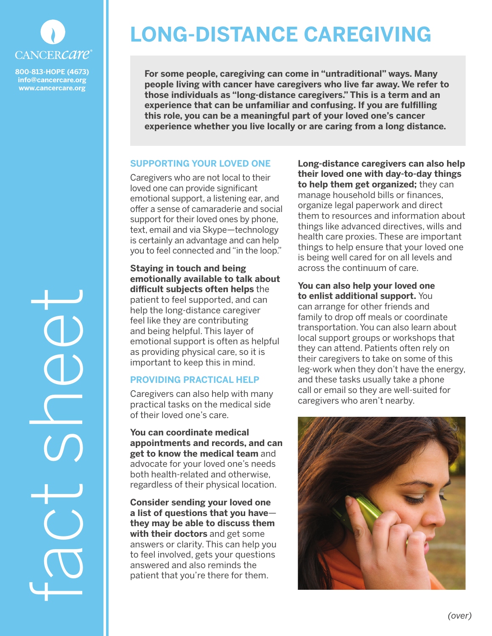

**800-813-HOPE (4673) info@cancercare.org www.cancercare.org**

# **LONG-DISTANCE CAREGIVING**

**For some people, caregiving can come in "untraditional" ways. Many people living with cancer have caregivers who live far away. We refer to those individuals as "long-distance caregivers." This is a term and an experience that can be unfamiliar and confusing. If you are fulfilling this role, you can be a meaningful part of your loved one's cancer experience whether you live locally or are caring from a long distance.**

# **SUPPORTING YOUR LOVED ONE**

Caregivers who are not local to their loved one can provide significant emotional support, a listening ear, and offer a sense of camaraderie and social support for their loved ones by phone, text, email and via Skype—technology is certainly an advantage and can help you to feel connected and "in the loop."

**Staying in touch and being emotionally available to talk about difficult subjects often helps** the patient to feel supported, and can help the long-distance caregiver feel like they are contributing and being helpful. This layer of emotional support is often as helpful as providing physical care, so it is important to keep this in mind.

# **PROVIDING PRACTICAL HELP**

Caregivers can also help with many practical tasks on the medical side of their loved one's care.

**You can coordinate medical appointments and records, and can get to know the medical team** and advocate for your loved one's needs both health-related and otherwise, regardless of their physical location.

**Consider sending your loved one a list of questions that you have they may be able to discuss them with their doctors** and get some answers or clarity. This can help you to feel involved, gets your questions answered and also reminds the patient that you're there for them.

**Long-distance caregivers can also help their loved one with day-to-day things to help them get organized;** they can manage household bills or finances, organize legal paperwork and direct them to resources and information about things like advanced directives, wills and health care proxies. These are important things to help ensure that your loved one is being well cared for on all levels and across the continuum of care.

**You can also help your loved one to enlist additional support.** You can arrange for other friends and family to drop off meals or coordinate transportation. You can also learn about local support groups or workshops that they can attend. Patients often rely on their caregivers to take on some of this leg-work when they don't have the energy, and these tasks usually take a phone call or email so they are well-suited for caregivers who aren't nearby.



fact sheet